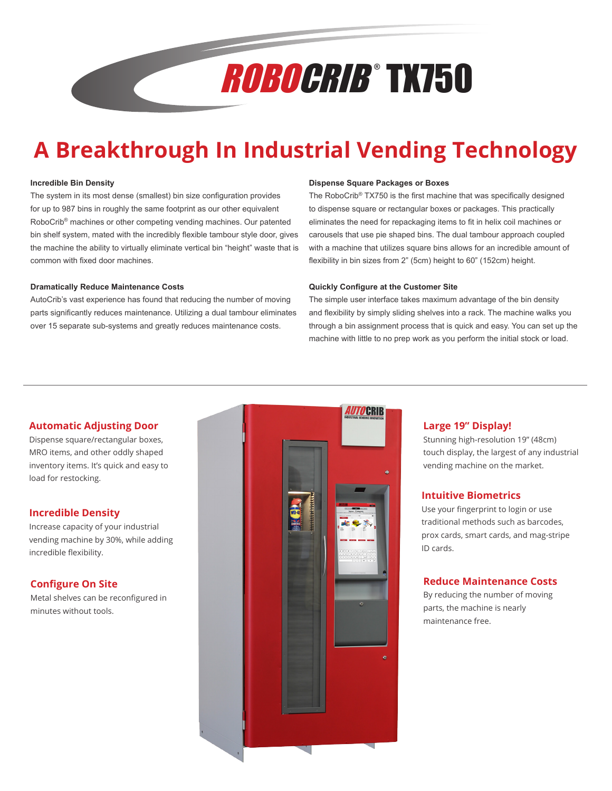# ROBOCRIB ® TX750

# **A Breakthrough In Industrial Vending Technology**

#### **Incredible Bin Density**

The system in its most dense (smallest) bin size configuration provides for up to 987 bins in roughly the same footprint as our other equivalent RoboCrib® machines or other competing vending machines. Our patented bin shelf system, mated with the incredibly flexible tambour style door, gives the machine the ability to virtually eliminate vertical bin "height" waste that is common with fixed door machines.

#### **Dramatically Reduce Maintenance Costs**

AutoCrib's vast experience has found that reducing the number of moving parts significantly reduces maintenance. Utilizing a dual tambour eliminates over 15 separate sub-systems and greatly reduces maintenance costs.

#### **Dispense Square Packages or Boxes**

The RoboCrib® TX750 is the first machine that was specifically designed to dispense square or rectangular boxes or packages. This practically eliminates the need for repackaging items to fit in helix coil machines or carousels that use pie shaped bins. The dual tambour approach coupled with a machine that utilizes square bins allows for an incredible amount of flexibility in bin sizes from 2" (5cm) height to 60" (152cm) height.

#### **Quickly Configure at the Customer Site**

The simple user interface takes maximum advantage of the bin density and flexibility by simply sliding shelves into a rack. The machine walks you through a bin assignment process that is quick and easy. You can set up the machine with little to no prep work as you perform the initial stock or load.

#### **Automatic Adjusting Door**

Dispense square/rectangular boxes, MRO items, and other oddly shaped inventory items. It's quick and easy to load for restocking.

#### **Incredible Density**

Increase capacity of your industrial vending machine by 30%, while adding incredible flexibility.

#### **Configure On Site**

Metal shelves can be reconfigured in minutes without tools.



#### **Large 19" Display!**

Stunning high-resolution 19" (48cm) touch display, the largest of any industrial vending machine on the market.

#### **Intuitive Biometrics**

Use your fingerprint to login or use traditional methods such as barcodes, prox cards, smart cards, and mag-stripe ID cards.

#### **Reduce Maintenance Costs**

By reducing the number of moving parts, the machine is nearly maintenance free.